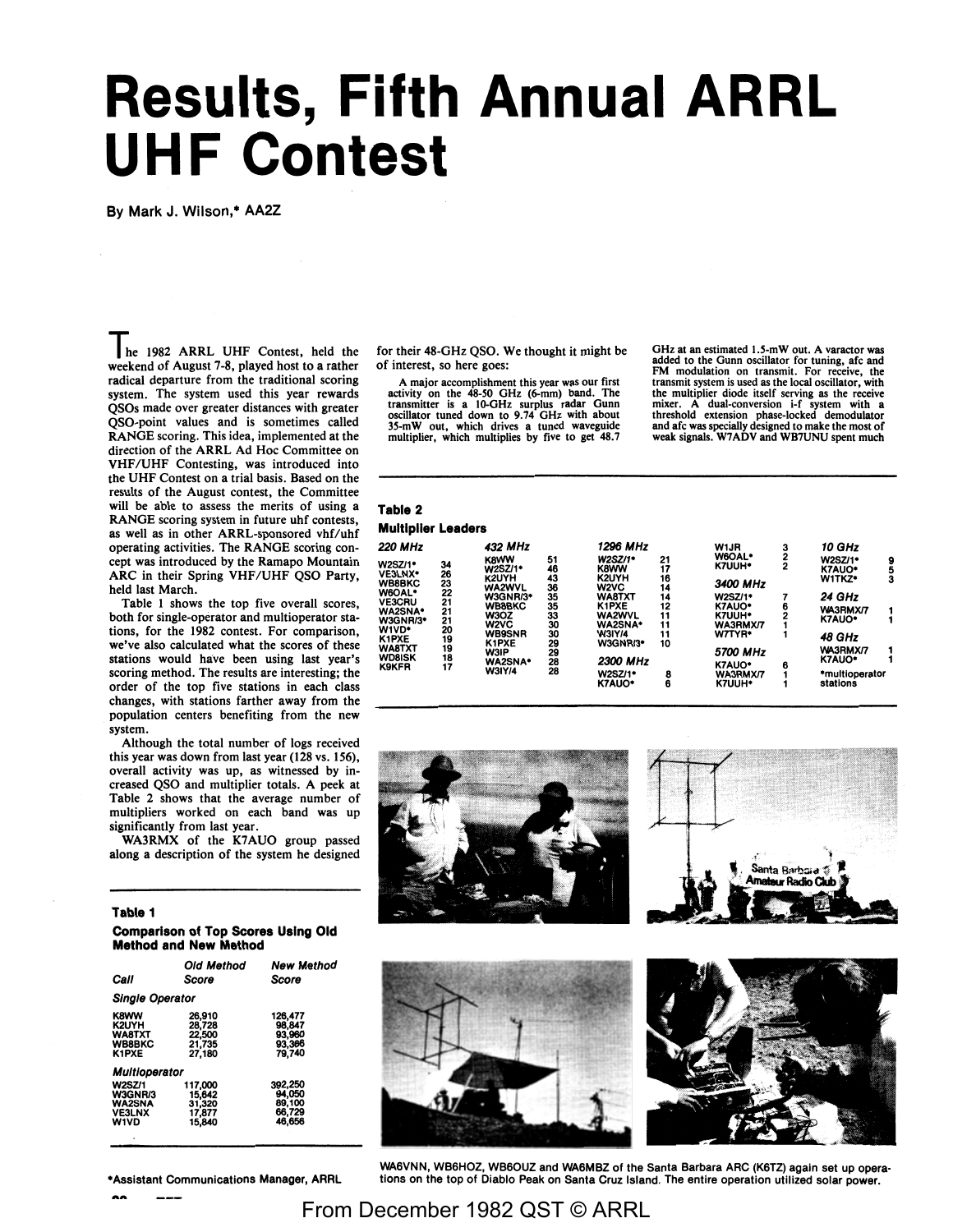# **Results, Fifth Annual ARRL UHF Contest**

By Mark J. Wilson,• AA2Z

**lie** 1982 ARRL UHF Contest, held the weekend of August 7-8, played host to a rather radical departure from the traditional scoring system. The system used this year rewards QSOs made over greater distances with greater QSO-point values and is sometimes called RANGE scoring. This idea, implemented at the direction of the ARRL Ad Hoc Committee on VHF/UHF Contesting, was introduced into the UHF Contest on a trial basis. Based on the results of the August contest, the Committee will be able to assess the merits of using a RANGE scoring system in future uhf contests, as well as in other ARRL-sponsored vhf/uhf operating activities. The RANGE scoring concept was introduced by the Ramapo Mountain ARC in their Spring VHF/UHF QSO Party, held last March.

Table l shows the top five overall scores, both for single-operator and multioperator stations, for the 1982 contest. For comparison, we've also calculated what the scores of these stations would have been using last year's scoring method. The results are interesting; the order of the top five stations in each class changes, with stations farther away from the population centers benefiting from the new system.

Although the total number of logs received this year was down from last year (128 vs. 156), overall activity was up, as witnessed by increased QSO and multiplier totals. A peek at Table 2 shows that the average number of multipliers worked on each band was up significantly from last year.

WA3RMX of the K7AUO group passed along a description of the system he designed

#### **Table 1**

**Comparison of Top Scores Using Old Method and New Method** 

|                                                                           | <b>Old Method</b>                               | <b>New Method</b>                               |  |  |  |  |  |
|---------------------------------------------------------------------------|-------------------------------------------------|-------------------------------------------------|--|--|--|--|--|
| Call                                                                      | Score                                           | Score                                           |  |  |  |  |  |
| <b>Single Operator</b>                                                    |                                                 |                                                 |  |  |  |  |  |
| <b>K8WW</b><br>K2UYH<br><b>WA8TXT</b><br><b>WB8BKC</b><br>K1PXE           | 26.910<br>28.728<br>22,500<br>21,735<br>27,180  | 126,477<br>98,847<br>93,960<br>93,366<br>79.740 |  |  |  |  |  |
| <b>Multioperator</b>                                                      |                                                 |                                                 |  |  |  |  |  |
| <b>W2SZ/1</b><br>W3GNR/3<br><b>WA2SNA</b><br><b>VE3LNX</b><br><b>W1VD</b> | 117.000<br>15,642<br>31,320<br>17,877<br>15,840 | 392,250<br>94,050<br>89,100<br>66,729<br>46,656 |  |  |  |  |  |

**•Assistant** Communications **Manager, ARAL** 

for their 48-GHz QSO. We thought it might be of interest, so here goes:

A major accomplishment this year was our first<br>activity on the 48-50 GHz (6-mm) band. The<br>transmitter is a 10-GHz surplus radar Gunn<br>oscillator tuned down to 9.74 GHz with about<br>35-mW out, which drives a tuned waveguide<br>m

GHz at an estimated *l.S-mW* out. A varactor was added to the Gunn oscillator for tuning, afc and FM modulation on transmit. For receive, the transmit system is used as the local oscillator, with the multiplier diode itself serving as the receive<br>mixer. A dual-conversion i-f system with a<br>threshold extension phase-locked demodulator<br>and afc was specially designed to make the most of<br>weak signals. W7ADV and WB7UNU s

### **Table 2 Multiplier Leaders**

| <b>.</b>                 |          |                                   |          |                                        |          |                                |                |                          |        |
|--------------------------|----------|-----------------------------------|----------|----------------------------------------|----------|--------------------------------|----------------|--------------------------|--------|
| <b>220 MHz</b>           |          | 432 MHz                           |          | 1296 MHz                               |          | W1JR                           | 3              | 10 GHz                   |        |
| W2SZ/1*                  | 34       | <b>K8WW</b><br><b>W2SZ/1*</b>     | 51<br>46 | <b>W2SZ/1*</b><br><b>K8WW</b>          | 21<br>17 | <b>W6OAL*</b><br><b>K7UUH*</b> | $\overline{c}$ | <b>W2SZ/1*</b><br>K7AUO* | 9<br>5 |
| VE3LNX*<br><b>WB8BKC</b> | 26<br>23 | K2UYH<br><b>WA2WVL</b>            | 43<br>36 | K2UYH<br>W <sub>2</sub> V <sub>C</sub> | 16<br>14 | 3400 MHz                       |                | W1TKZ*                   | з      |
| W6OAL*                   | 22       | W3GNR/3*                          | 35       | WA8TXT                                 | 14       | <b>W2SZ/1*</b>                 |                | 24 GHz                   |        |
| <b>VE3CRU</b><br>WA2SNA* | 21<br>21 | <b>WB8BKC</b>                     | 35       | K1PXE                                  | 12       | K7AUO*                         | 6              | WA3RMX/7                 | 1      |
| W3GNR/3*                 | 21       | W3OZ                              | 33       | <b>WA2WVL</b>                          | 11       | K7UUH*                         |                | <b>K7AUO*</b>            |        |
| W1VD*                    | 20       | W2VC                              | 30       | WA2SNA*                                | 11       | WA3RMX/7                       |                |                          |        |
| K1PXE                    | 19       | <b>WB9SNR</b>                     | 30       | <b>W3IY/4</b>                          | 11       | W7TYR*                         |                | 48 GHz                   |        |
| WA8TXT<br><b>WD8ISK</b>  | 19<br>18 | K <sub>1</sub> PXE<br><b>W3IP</b> | 29<br>29 | W3GNR/3*                               | 10       | 5700 MHz                       |                | <b>WA3RMX/7</b>          | 1      |
| <b>K9KFR</b>             | 17       | <b>WA2SNA*</b>                    | 28       | 2300 MHz                               |          | K7AUO*                         | 6              | K7AUO*                   |        |
|                          |          | <b>W3IY/4</b>                     | 28       | <b>W2SZ/1*</b>                         | 8        | WA3RMX/7                       |                | *multioperator           |        |
|                          |          |                                   |          | K7AUO*                                 | 6        | K7UUH*                         |                | stations                 |        |
|                          |          |                                   |          |                                        |          |                                |                |                          |        |



WA6VNN, WB6HOZ, WB60UZ and WA6MBZ of the Santa Barbara ARC (K6TZ) again set up operations on the top of Diablo Peak on Santa Cruz Island. The entire operation utilized solar power.

From December 1982 QST © ARRL